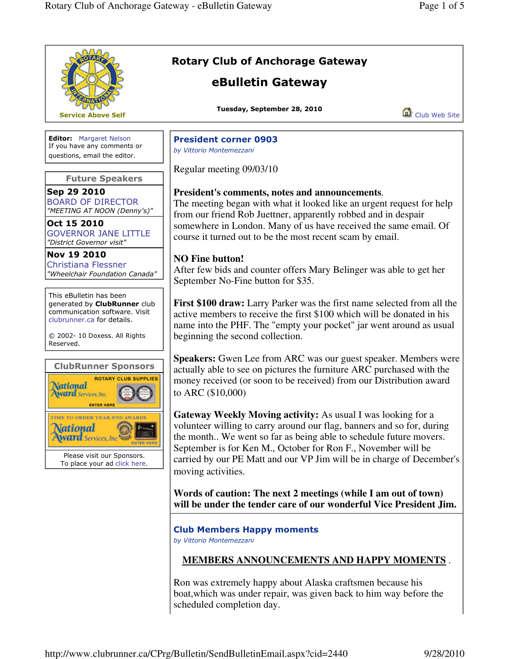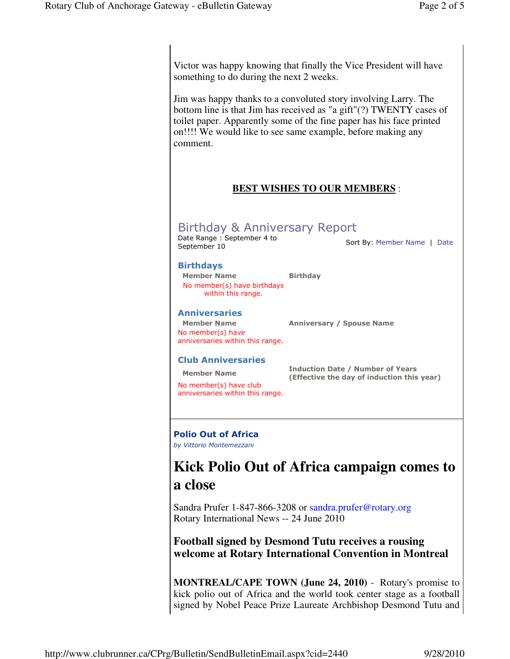Victor was happy knowing that finally the Vice President will have something to do during the next 2 weeks.

Jim was happy thanks to a convoluted story involving Larry. The bottom line is that Jim has received as "a gift"(?) TWENTY cases of toilet paper. Apparently some of the fine paper has his face printed on!!!! We would like to see same example, before making any comment.

### **BEST WISHES TO OUR MEMBERS** :

## Birthday & Anniversary Report

Date Range : September 4 to

Sort By: Member Name | Date

#### Birthdays

Member Name Birthday No member(s) have birthdays within this range.

#### Anniversaries

No member(s) have anniversaries within this range.

Member Name Anniversary / Spouse Name

#### Club Anniversaries

No member(s) have club anniversaries within this range.

Member Name **Induction Date / Number of Years** (Effective the day of induction this year)

## Polio Out of Africa

by Vittorio Montemezzani

# **Kick Polio Out of Africa campaign comes to a close**

Sandra Prufer 1-847-866-3208 or sandra.prufer@rotary.org Rotary International News -- 24 June 2010

### **Football signed by Desmond Tutu receives a rousing welcome at Rotary International Convention in Montreal**

**MONTREAL/CAPE TOWN (June 24, 2010)** - Rotary's promise to kick polio out of Africa and the world took center stage as a football signed by Nobel Peace Prize Laureate Archbishop Desmond Tutu and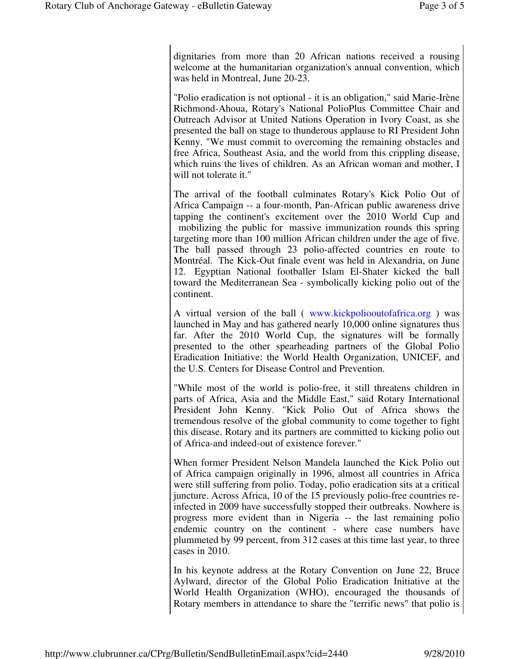dignitaries from more than 20 African nations received a rousing welcome at the humanitarian organization's annual convention, which was held in Montreal, June 20-23.

"Polio eradication is not optional - it is an obligation," said Marie-Irène Richmond-Ahoua, Rotary's National PolioPlus Committee Chair and Outreach Advisor at United Nations Operation in Ivory Coast, as she presented the ball on stage to thunderous applause to RI President John Kenny. "We must commit to overcoming the remaining obstacles and free Africa, Southeast Asia, and the world from this crippling disease, which ruins the lives of children. As an African woman and mother, I will not tolerate it."

The arrival of the football culminates Rotary's Kick Polio Out of Africa Campaign -- a four-month, Pan-African public awareness drive tapping the continent's excitement over the 2010 World Cup and mobilizing the public for massive immunization rounds this spring targeting more than 100 million African children under the age of five. The ball passed through 23 polio-affected countries en route to Montréal. The Kick-Out finale event was held in Alexandria, on June 12. Egyptian National footballer Islam El-Shater kicked the ball toward the Mediterranean Sea - symbolically kicking polio out of the continent.

A virtual version of the ball ( www.kickpoliooutofafrica.org ) was launched in May and has gathered nearly 10,000 online signatures thus far. After the 2010 World Cup, the signatures will be formally presented to the other spearheading partners of the Global Polio Eradication Initiative: the World Health Organization, UNICEF, and the U.S. Centers for Disease Control and Prevention.

"While most of the world is polio-free, it still threatens children in parts of Africa, Asia and the Middle East," said Rotary International President John Kenny. "Kick Polio Out of Africa shows the tremendous resolve of the global community to come together to fight this disease. Rotary and its partners are committed to kicking polio out of Africa-and indeed-out of existence forever."

When former President Nelson Mandela launched the Kick Polio out of Africa campaign originally in 1996, almost all countries in Africa were still suffering from polio. Today, polio eradication sits at a critical juncture. Across Africa, 10 of the 15 previously polio-free countries reinfected in 2009 have successfully stopped their outbreaks. Nowhere is progress more evident than in Nigeria -- the last remaining polio endemic country on the continent - where case numbers have plummeted by 99 percent, from 312 cases at this time last year, to three cases in 2010.

In his keynote address at the Rotary Convention on June 22, Bruce Aylward, director of the Global Polio Eradication Initiative at the World Health Organization (WHO), encouraged the thousands of Rotary members in attendance to share the "terrific news" that polio is